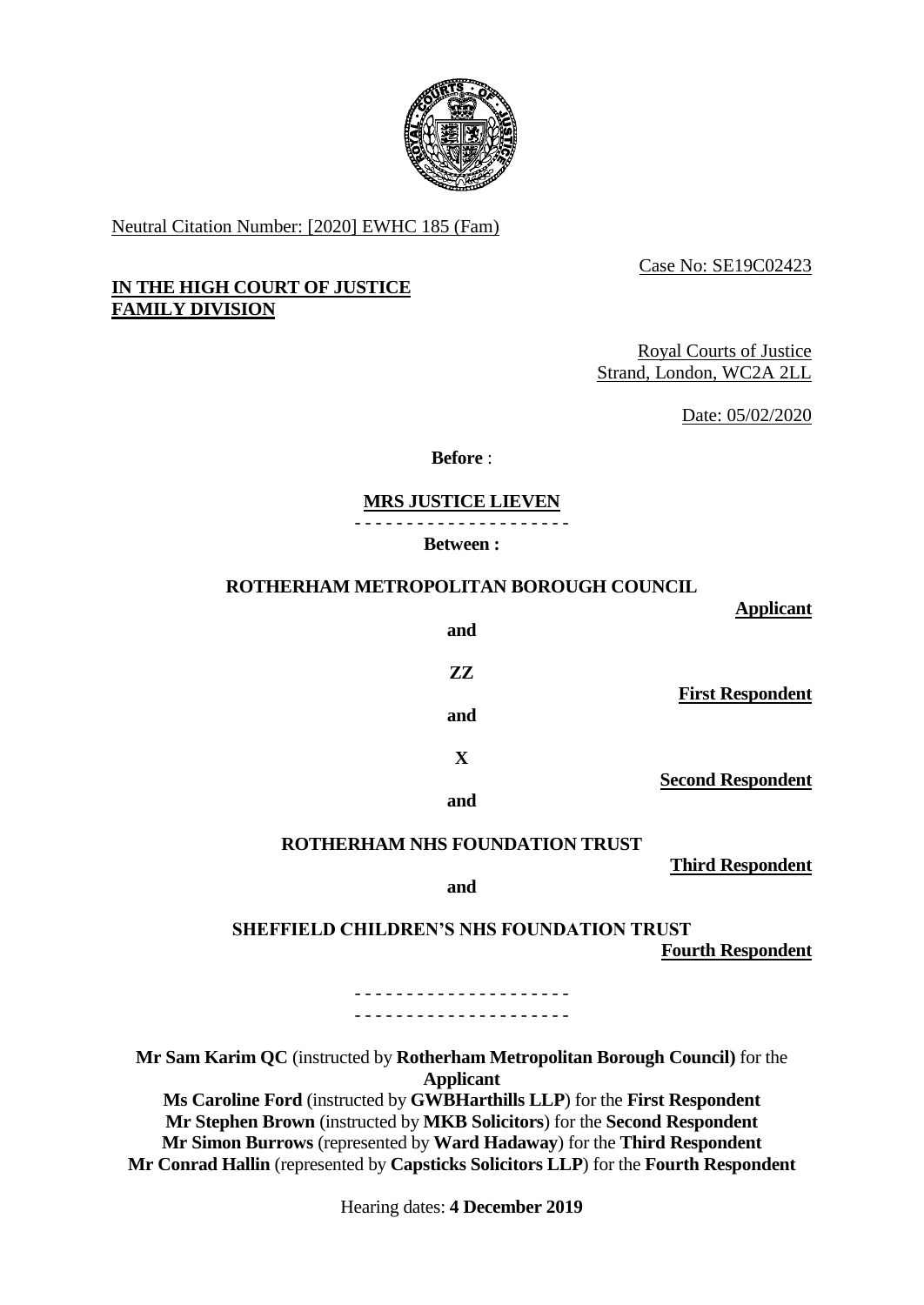

Neutral Citation Number: [2020] EWHC 185 (Fam)

Case No: SE19C02423

## **IN THE HIGH COURT OF JUSTICE FAMILY DIVISION**

Royal Courts of Justice Strand, London, WC2A 2LL

Date: 05/02/2020

**Before** :

## **MRS JUSTICE LIEVEN**

- - - - - - - - - - - - - - - - - - - - -

**Between :**

## **ROTHERHAM METROPOLITAN BOROUGH COUNCIL**

|                                                  | <b>Applicant</b>         |
|--------------------------------------------------|--------------------------|
| and                                              |                          |
| $\mathbf{Z}$                                     |                          |
| and                                              | <b>First Respondent</b>  |
| $\mathbf{X}$                                     |                          |
| and                                              | <b>Second Respondent</b> |
| ROTHERHAM NHS FOUNDATION TRUST                   |                          |
| and                                              | <b>Third Respondent</b>  |
| <b>SHEFFIELD CHILDREN'S NHS FOUNDATION TRUST</b> |                          |
|                                                  | <b>Fourth Respondent</b> |
|                                                  |                          |

- - - - - - - - - - - - - - - - - - - - -

**Mr Sam Karim QC** (instructed by **Rotherham Metropolitan Borough Council)** for the **Applicant**

**Ms Caroline Ford** (instructed by **GWBHarthills LLP**) for the **First Respondent Mr Stephen Brown** (instructed by **MKB Solicitors**) for the **Second Respondent Mr Simon Burrows** (represented by **Ward Hadaway**) for the **Third Respondent Mr Conrad Hallin** (represented by **Capsticks Solicitors LLP**) for the **Fourth Respondent**

Hearing dates: **4 December 2019**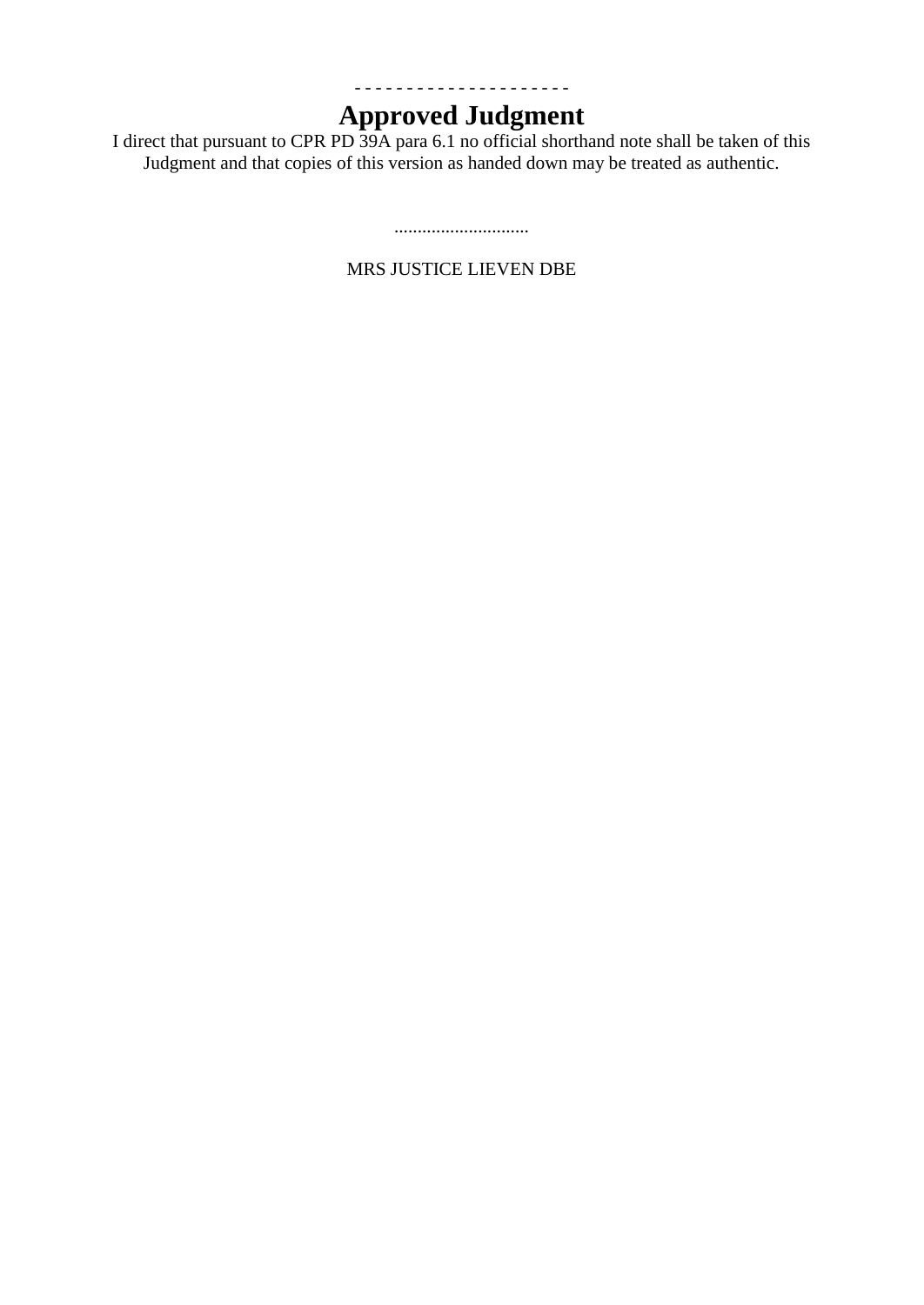# - - - - - - - - - - - - - - - - - - - - - **Approved Judgment**

I direct that pursuant to CPR PD 39A para 6.1 no official shorthand note shall be taken of this Judgment and that copies of this version as handed down may be treated as authentic.

.............................

MRS JUSTICE LIEVEN DBE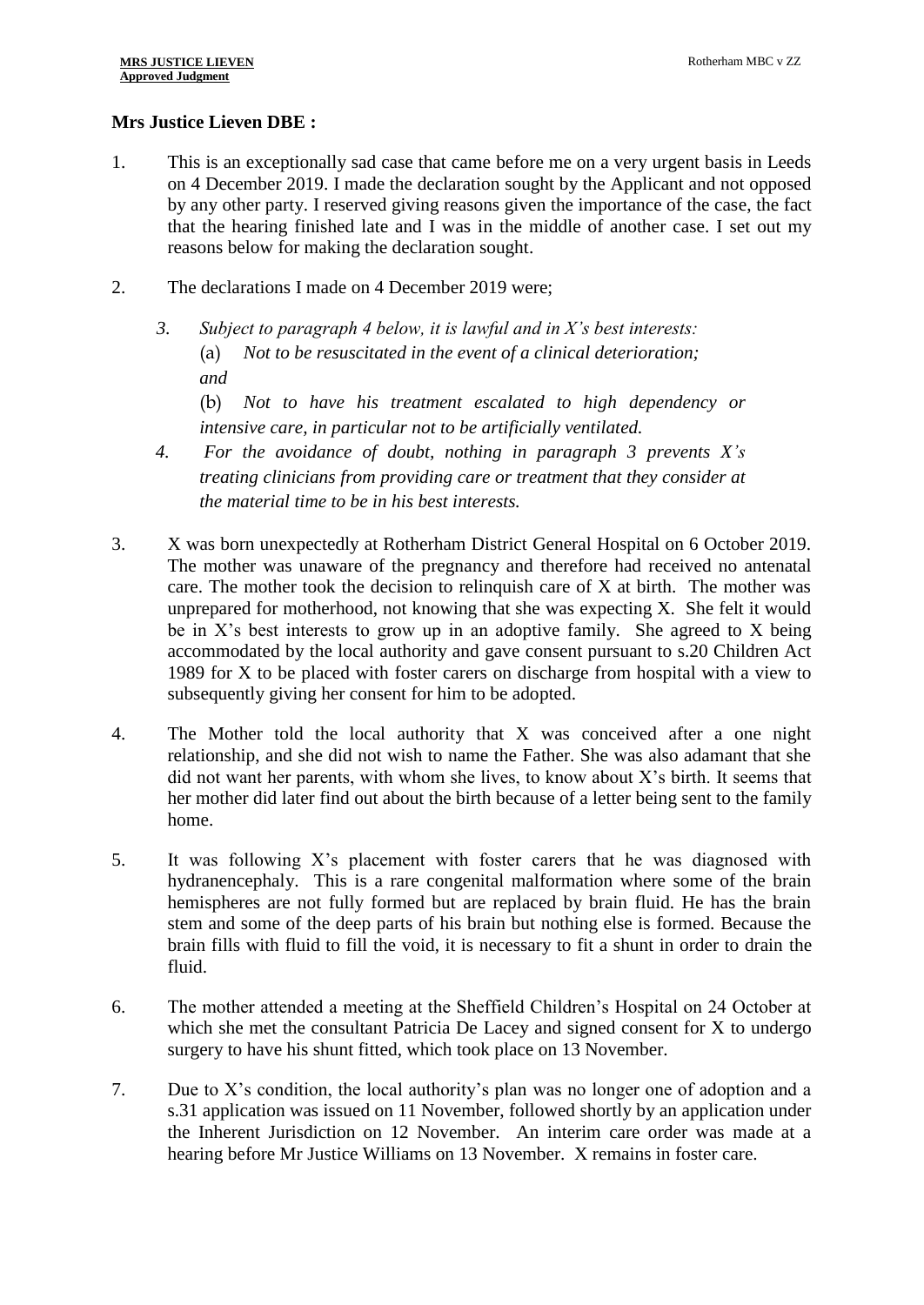## **Mrs Justice Lieven DBE :**

- 1. This is an exceptionally sad case that came before me on a very urgent basis in Leeds on 4 December 2019. I made the declaration sought by the Applicant and not opposed by any other party. I reserved giving reasons given the importance of the case, the fact that the hearing finished late and I was in the middle of another case. I set out my reasons below for making the declaration sought.
- 2. The declarations I made on 4 December 2019 were;
	- *3. Subject to paragraph 4 below, it is lawful and in X's best interests:*  (a) *Not to be resuscitated in the event of a clinical deterioration; and*

(b) *Not to have his treatment escalated to high dependency or intensive care, in particular not to be artificially ventilated.* 

- *4. For the avoidance of doubt, nothing in paragraph 3 prevents X's treating clinicians from providing care or treatment that they consider at the material time to be in his best interests.*
- 3. X was born unexpectedly at Rotherham District General Hospital on 6 October 2019. The mother was unaware of the pregnancy and therefore had received no antenatal care. The mother took the decision to relinquish care of X at birth. The mother was unprepared for motherhood, not knowing that she was expecting X. She felt it would be in X's best interests to grow up in an adoptive family. She agreed to X being accommodated by the local authority and gave consent pursuant to s.20 Children Act 1989 for X to be placed with foster carers on discharge from hospital with a view to subsequently giving her consent for him to be adopted.
- 4. The Mother told the local authority that X was conceived after a one night relationship, and she did not wish to name the Father. She was also adamant that she did not want her parents, with whom she lives, to know about  $X$ 's birth. It seems that her mother did later find out about the birth because of a letter being sent to the family home.
- 5. It was following X's placement with foster carers that he was diagnosed with hydranencephaly. This is a rare congenital malformation where some of the brain hemispheres are not fully formed but are replaced by brain fluid. He has the brain stem and some of the deep parts of his brain but nothing else is formed. Because the brain fills with fluid to fill the void, it is necessary to fit a shunt in order to drain the fluid.
- 6. The mother attended a meeting at the Sheffield Children's Hospital on 24 October at which she met the consultant Patricia De Lacey and signed consent for X to undergo surgery to have his shunt fitted, which took place on 13 November.
- 7. Due to X's condition, the local authority's plan was no longer one of adoption and a s.31 application was issued on 11 November, followed shortly by an application under the Inherent Jurisdiction on 12 November. An interim care order was made at a hearing before Mr Justice Williams on 13 November. X remains in foster care.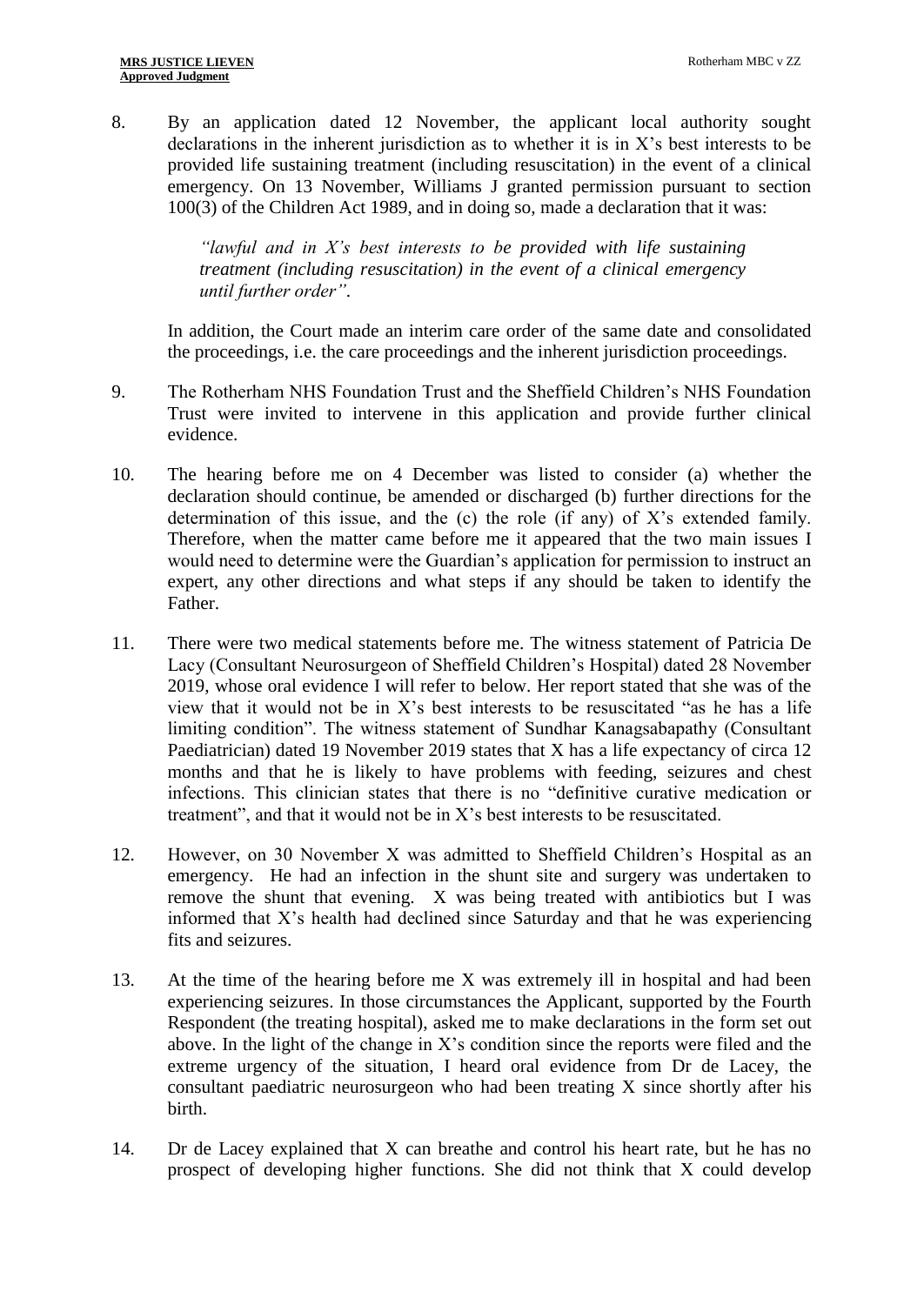8. By an application dated 12 November, the applicant local authority sought declarations in the inherent jurisdiction as to whether it is in X's best interests to be provided life sustaining treatment (including resuscitation) in the event of a clinical emergency. On 13 November, Williams J granted permission pursuant to section 100(3) of the Children Act 1989, and in doing so, made a declaration that it was:

> *"lawful and in X's best interests to be provided with life sustaining treatment (including resuscitation) in the event of a clinical emergency until further order".*

In addition, the Court made an interim care order of the same date and consolidated the proceedings, i.e. the care proceedings and the inherent jurisdiction proceedings.

- 9. The Rotherham NHS Foundation Trust and the Sheffield Children's NHS Foundation Trust were invited to intervene in this application and provide further clinical evidence.
- 10. The hearing before me on 4 December was listed to consider (a) whether the declaration should continue, be amended or discharged (b) further directions for the determination of this issue, and the (c) the role (if any) of X's extended family. Therefore, when the matter came before me it appeared that the two main issues I would need to determine were the Guardian's application for permission to instruct an expert, any other directions and what steps if any should be taken to identify the Father.
- 11. There were two medical statements before me. The witness statement of Patricia De Lacy (Consultant Neurosurgeon of Sheffield Children's Hospital) dated 28 November 2019, whose oral evidence I will refer to below. Her report stated that she was of the view that it would not be in X's best interests to be resuscitated "as he has a life limiting condition". The witness statement of Sundhar Kanagsabapathy (Consultant Paediatrician) dated 19 November 2019 states that X has a life expectancy of circa 12 months and that he is likely to have problems with feeding, seizures and chest infections. This clinician states that there is no "definitive curative medication or treatment", and that it would not be in X's best interests to be resuscitated.
- 12. However, on 30 November X was admitted to Sheffield Children's Hospital as an emergency. He had an infection in the shunt site and surgery was undertaken to remove the shunt that evening. X was being treated with antibiotics but I was informed that X's health had declined since Saturday and that he was experiencing fits and seizures.
- 13. At the time of the hearing before me X was extremely ill in hospital and had been experiencing seizures. In those circumstances the Applicant, supported by the Fourth Respondent (the treating hospital), asked me to make declarations in the form set out above. In the light of the change in X's condition since the reports were filed and the extreme urgency of the situation, I heard oral evidence from Dr de Lacey, the consultant paediatric neurosurgeon who had been treating X since shortly after his birth.
- 14. Dr de Lacey explained that X can breathe and control his heart rate, but he has no prospect of developing higher functions. She did not think that X could develop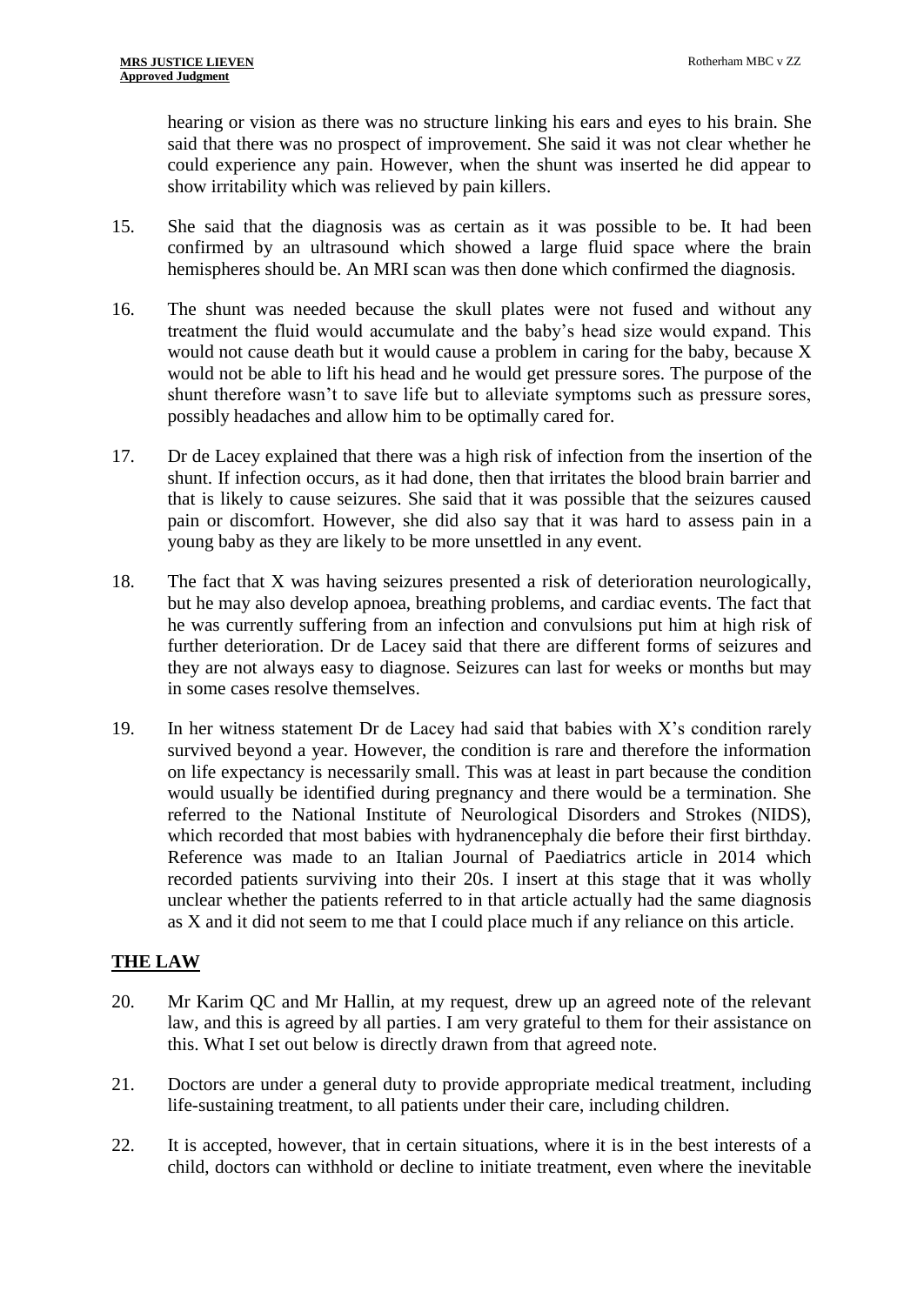hearing or vision as there was no structure linking his ears and eyes to his brain. She said that there was no prospect of improvement. She said it was not clear whether he could experience any pain. However, when the shunt was inserted he did appear to show irritability which was relieved by pain killers.

- 15. She said that the diagnosis was as certain as it was possible to be. It had been confirmed by an ultrasound which showed a large fluid space where the brain hemispheres should be. An MRI scan was then done which confirmed the diagnosis.
- 16. The shunt was needed because the skull plates were not fused and without any treatment the fluid would accumulate and the baby's head size would expand. This would not cause death but it would cause a problem in caring for the baby, because X would not be able to lift his head and he would get pressure sores. The purpose of the shunt therefore wasn't to save life but to alleviate symptoms such as pressure sores, possibly headaches and allow him to be optimally cared for.
- 17. Dr de Lacey explained that there was a high risk of infection from the insertion of the shunt. If infection occurs, as it had done, then that irritates the blood brain barrier and that is likely to cause seizures. She said that it was possible that the seizures caused pain or discomfort. However, she did also say that it was hard to assess pain in a young baby as they are likely to be more unsettled in any event.
- 18. The fact that X was having seizures presented a risk of deterioration neurologically, but he may also develop apnoea, breathing problems, and cardiac events. The fact that he was currently suffering from an infection and convulsions put him at high risk of further deterioration. Dr de Lacey said that there are different forms of seizures and they are not always easy to diagnose. Seizures can last for weeks or months but may in some cases resolve themselves.
- 19. In her witness statement Dr de Lacey had said that babies with X's condition rarely survived beyond a year. However, the condition is rare and therefore the information on life expectancy is necessarily small. This was at least in part because the condition would usually be identified during pregnancy and there would be a termination. She referred to the National Institute of Neurological Disorders and Strokes (NIDS), which recorded that most babies with hydranencephaly die before their first birthday. Reference was made to an Italian Journal of Paediatrics article in 2014 which recorded patients surviving into their 20s. I insert at this stage that it was wholly unclear whether the patients referred to in that article actually had the same diagnosis as X and it did not seem to me that I could place much if any reliance on this article.

## **THE LAW**

- 20. Mr Karim QC and Mr Hallin, at my request, drew up an agreed note of the relevant law, and this is agreed by all parties. I am very grateful to them for their assistance on this. What I set out below is directly drawn from that agreed note.
- 21. Doctors are under a general duty to provide appropriate medical treatment, including life-sustaining treatment, to all patients under their care, including children.
- 22. It is accepted, however, that in certain situations, where it is in the best interests of a child, doctors can withhold or decline to initiate treatment, even where the inevitable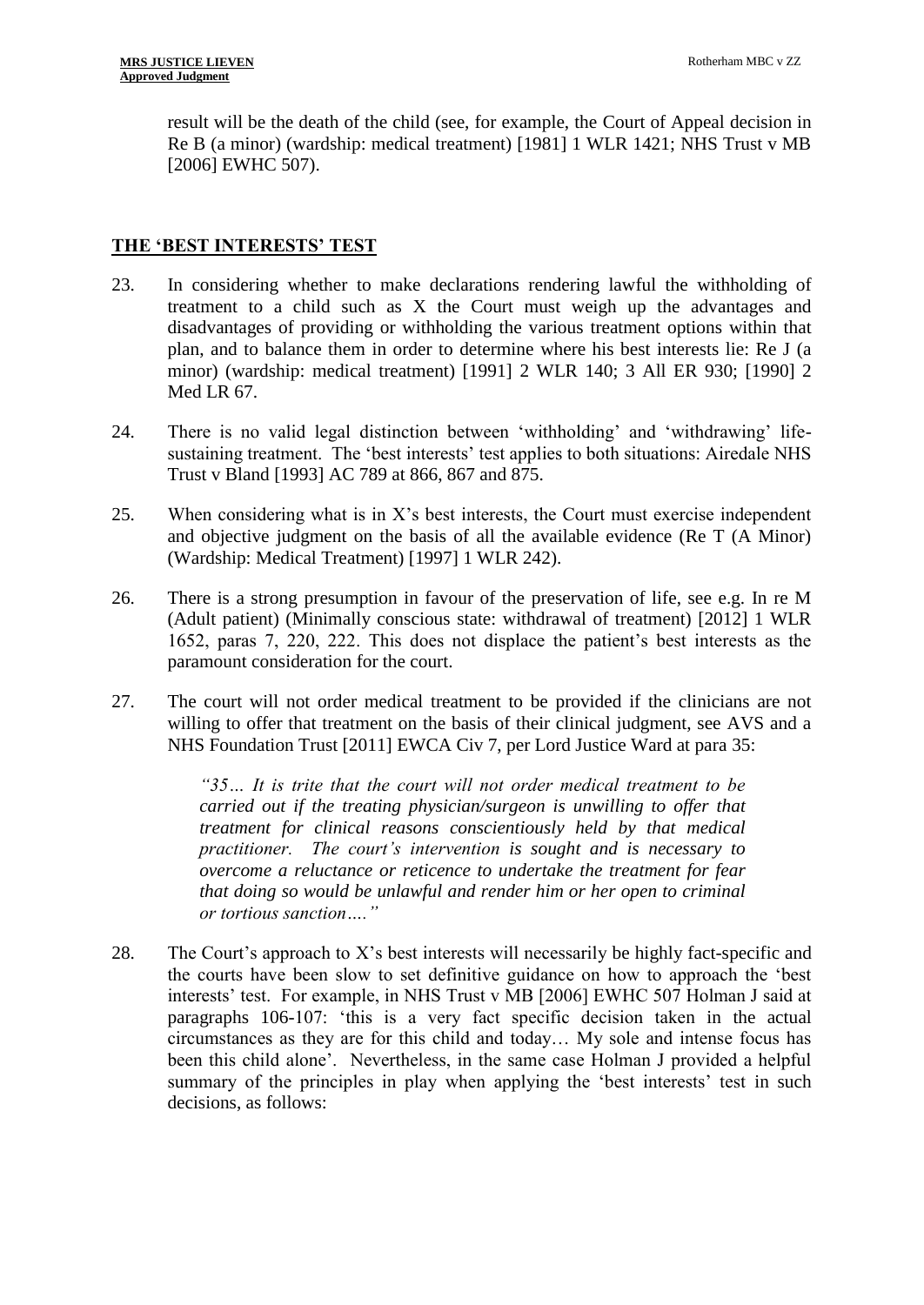result will be the death of the child (see, for example, the Court of Appeal decision in Re B (a minor) (wardship: medical treatment) [1981] 1 WLR 1421; NHS Trust v MB [2006] EWHC 507).

## **THE 'BEST INTERESTS' TEST**

- 23. In considering whether to make declarations rendering lawful the withholding of treatment to a child such as X the Court must weigh up the advantages and disadvantages of providing or withholding the various treatment options within that plan, and to balance them in order to determine where his best interests lie: Re J (a minor) (wardship: medical treatment) [1991] 2 WLR 140; 3 All ER 930; [1990] 2 Med LR 67.
- 24. There is no valid legal distinction between 'withholding' and 'withdrawing' lifesustaining treatment. The 'best interests' test applies to both situations: Airedale NHS Trust v Bland [1993] AC 789 at 866, 867 and 875.
- 25. When considering what is in X's best interests, the Court must exercise independent and objective judgment on the basis of all the available evidence (Re T (A Minor) (Wardship: Medical Treatment) [1997] 1 WLR 242).
- 26. There is a strong presumption in favour of the preservation of life, see e.g. In re M (Adult patient) (Minimally conscious state: withdrawal of treatment) [2012] 1 WLR 1652, paras 7, 220, 222. This does not displace the patient's best interests as the paramount consideration for the court.
- 27. The court will not order medical treatment to be provided if the clinicians are not willing to offer that treatment on the basis of their clinical judgment, see AVS and a NHS Foundation Trust [2011] EWCA Civ 7, per Lord Justice Ward at para 35:

*"35… It is trite that the court will not order medical treatment to be carried out if the treating physician/surgeon is unwilling to offer that treatment for clinical reasons conscientiously held by that medical practitioner. The court's intervention is sought and is necessary to overcome a reluctance or reticence to undertake the treatment for fear that doing so would be unlawful and render him or her open to criminal or tortious sanction…."*

28. The Court's approach to X's best interests will necessarily be highly fact-specific and the courts have been slow to set definitive guidance on how to approach the 'best interests' test. For example, in NHS Trust v MB [2006] EWHC 507 Holman J said at paragraphs 106-107: 'this is a very fact specific decision taken in the actual circumstances as they are for this child and today… My sole and intense focus has been this child alone'. Nevertheless, in the same case Holman J provided a helpful summary of the principles in play when applying the 'best interests' test in such decisions, as follows: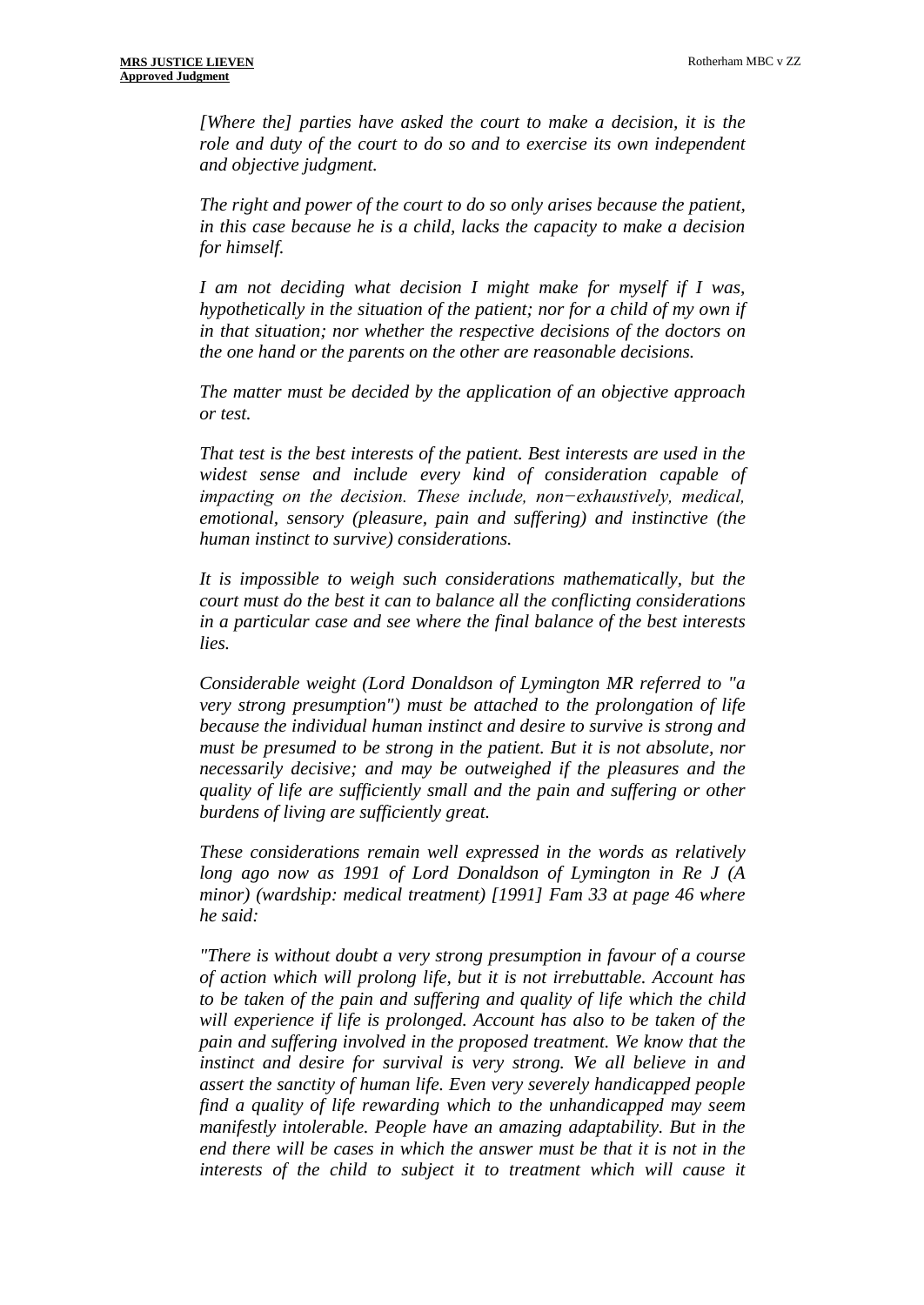*[Where the] parties have asked the court to make a decision, it is the role and duty of the court to do so and to exercise its own independent and objective judgment.* 

*The right and power of the court to do so only arises because the patient, in this case because he is a child, lacks the capacity to make a decision for himself.* 

*I am not deciding what decision I might make for myself if I was, hypothetically in the situation of the patient; nor for a child of my own if in that situation; nor whether the respective decisions of the doctors on the one hand or the parents on the other are reasonable decisions.* 

*The matter must be decided by the application of an objective approach or test.* 

*That test is the best interests of the patient. Best interests are used in the widest sense and include every kind of consideration capable of impacting on the decision. These include, non−exhaustively, medical, emotional, sensory (pleasure, pain and suffering) and instinctive (the human instinct to survive) considerations.* 

*It is impossible to weigh such considerations mathematically, but the court must do the best it can to balance all the conflicting considerations in a particular case and see where the final balance of the best interests lies.*

*Considerable weight (Lord Donaldson of Lymington MR referred to "a very strong presumption") must be attached to the prolongation of life because the individual human instinct and desire to survive is strong and must be presumed to be strong in the patient. But it is not absolute, nor necessarily decisive; and may be outweighed if the pleasures and the quality of life are sufficiently small and the pain and suffering or other burdens of living are sufficiently great.*

*These considerations remain well expressed in the words as relatively long ago now as 1991 of Lord Donaldson of Lymington in Re J (A minor) (wardship: medical treatment) [1991] Fam 33 at page 46 where he said:*

*"There is without doubt a very strong presumption in favour of a course of action which will prolong life, but it is not irrebuttable. Account has to be taken of the pain and suffering and quality of life which the child will experience if life is prolonged. Account has also to be taken of the pain and suffering involved in the proposed treatment. We know that the instinct and desire for survival is very strong. We all believe in and assert the sanctity of human life. Even very severely handicapped people find a quality of life rewarding which to the unhandicapped may seem manifestly intolerable. People have an amazing adaptability. But in the end there will be cases in which the answer must be that it is not in the interests of the child to subject it to treatment which will cause it*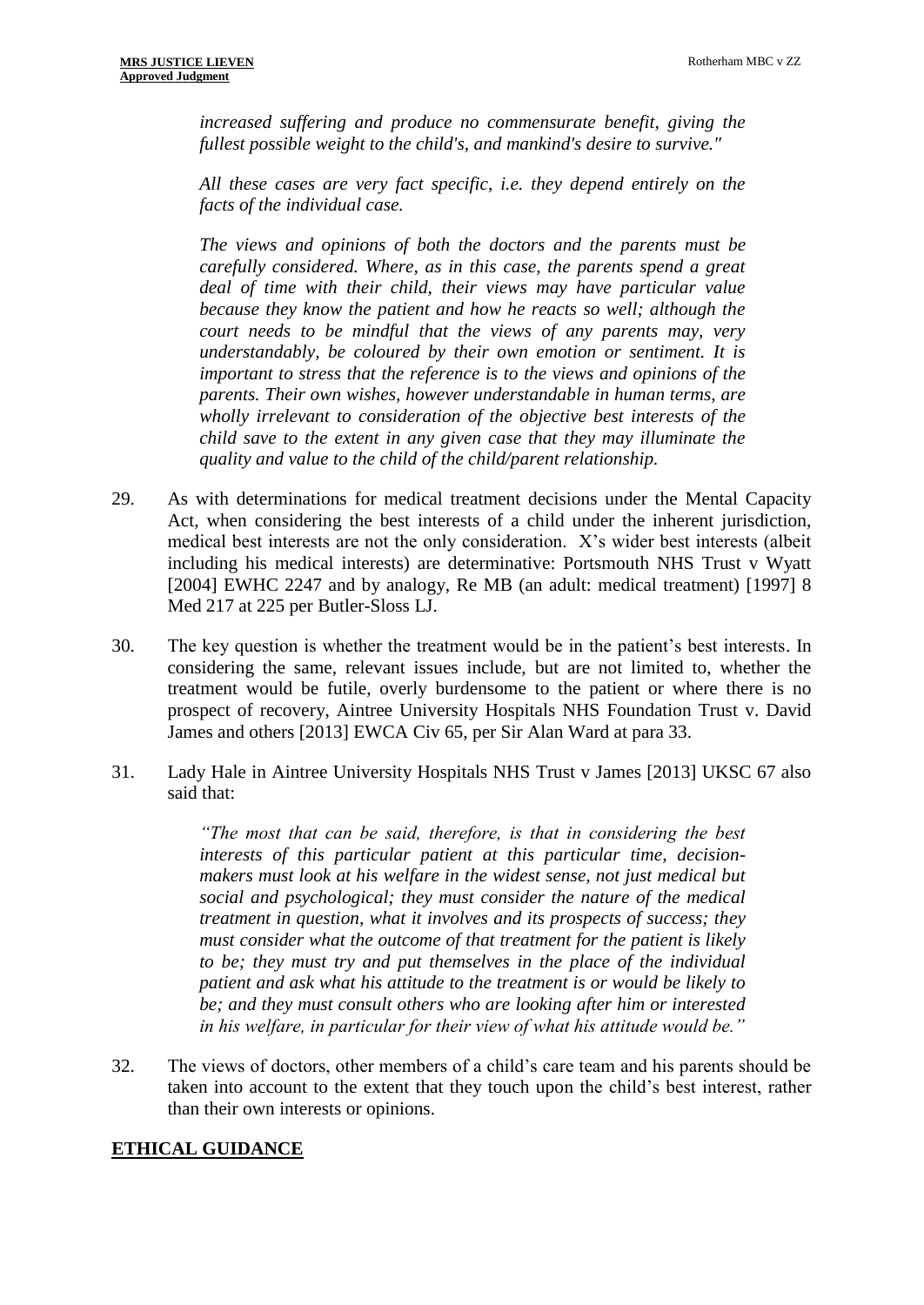*increased suffering and produce no commensurate benefit, giving the fullest possible weight to the child's, and mankind's desire to survive."* 

*All these cases are very fact specific, i.e. they depend entirely on the facts of the individual case.* 

*The views and opinions of both the doctors and the parents must be carefully considered. Where, as in this case, the parents spend a great deal of time with their child, their views may have particular value because they know the patient and how he reacts so well; although the court needs to be mindful that the views of any parents may, very understandably, be coloured by their own emotion or sentiment. It is important to stress that the reference is to the views and opinions of the parents. Their own wishes, however understandable in human terms, are wholly irrelevant to consideration of the objective best interests of the child save to the extent in any given case that they may illuminate the quality and value to the child of the child/parent relationship.*

- 29. As with determinations for medical treatment decisions under the Mental Capacity Act, when considering the best interests of a child under the inherent jurisdiction, medical best interests are not the only consideration. X's wider best interests (albeit including his medical interests) are determinative: Portsmouth NHS Trust v Wyatt [2004] EWHC 2247 and by analogy, Re MB (an adult: medical treatment) [1997] 8 Med 217 at 225 per Butler-Sloss LJ.
- 30. The key question is whether the treatment would be in the patient's best interests. In considering the same, relevant issues include, but are not limited to, whether the treatment would be futile, overly burdensome to the patient or where there is no prospect of recovery, Aintree University Hospitals NHS Foundation Trust v. David James and others [2013] EWCA Civ 65, per Sir Alan Ward at para 33.
- 31. Lady Hale in Aintree University Hospitals NHS Trust v James [2013] UKSC 67 also said that:

*"The most that can be said, therefore, is that in considering the best interests of this particular patient at this particular time, decisionmakers must look at his welfare in the widest sense, not just medical but social and psychological; they must consider the nature of the medical treatment in question, what it involves and its prospects of success; they must consider what the outcome of that treatment for the patient is likely to be; they must try and put themselves in the place of the individual patient and ask what his attitude to the treatment is or would be likely to be; and they must consult others who are looking after him or interested in his welfare, in particular for their view of what his attitude would be."*

32. The views of doctors, other members of a child's care team and his parents should be taken into account to the extent that they touch upon the child's best interest, rather than their own interests or opinions.

## **ETHICAL GUIDANCE**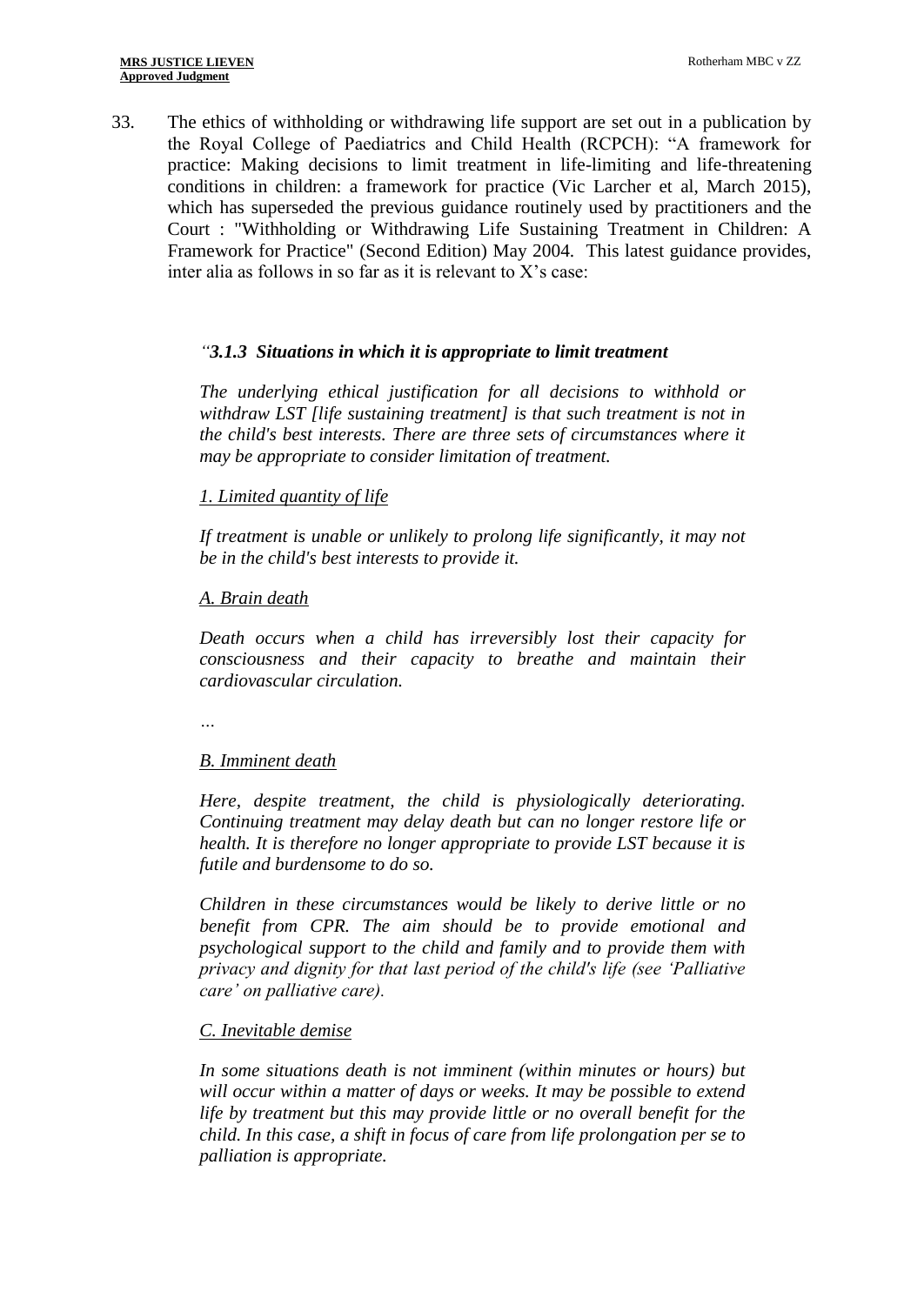33. The ethics of withholding or withdrawing life support are set out in a publication by the Royal College of Paediatrics and Child Health (RCPCH): "A framework for practice: Making decisions to limit treatment in life-limiting and life-threatening conditions in children: a framework for practice (Vic Larcher et al, March 2015), which has superseded the previous guidance routinely used by practitioners and the Court : "Withholding or Withdrawing Life Sustaining Treatment in Children: A Framework for Practice" (Second Edition) May 2004. This latest guidance provides, inter alia as follows in so far as it is relevant to X's case:

## *"3.1.3 Situations in which it is appropriate to limit treatment*

*The underlying ethical justification for all decisions to withhold or withdraw LST [life sustaining treatment] is that such treatment is not in the child's best interests. There are three sets of circumstances where it may be appropriate to consider limitation of treatment.* 

## *1. Limited quantity of life*

*If treatment is unable or unlikely to prolong life significantly, it may not be in the child's best interests to provide it.*

#### *A. Brain death*

*Death occurs when a child has irreversibly lost their capacity for consciousness and their capacity to breathe and maintain their cardiovascular circulation.* 

*…*

#### *B. Imminent death*

*Here, despite treatment, the child is physiologically deteriorating. Continuing treatment may delay death but can no longer restore life or health. It is therefore no longer appropriate to provide LST because it is futile and burdensome to do so.* 

*Children in these circumstances would be likely to derive little or no benefit from CPR. The aim should be to provide emotional and psychological support to the child and family and to provide them with privacy and dignity for that last period of the child's life (see 'Palliative care' on palliative care).* 

#### *C. Inevitable demise*

*In some situations death is not imminent (within minutes or hours) but will occur within a matter of days or weeks. It may be possible to extend life by treatment but this may provide little or no overall benefit for the child. In this case, a shift in focus of care from life prolongation per se to palliation is appropriate.*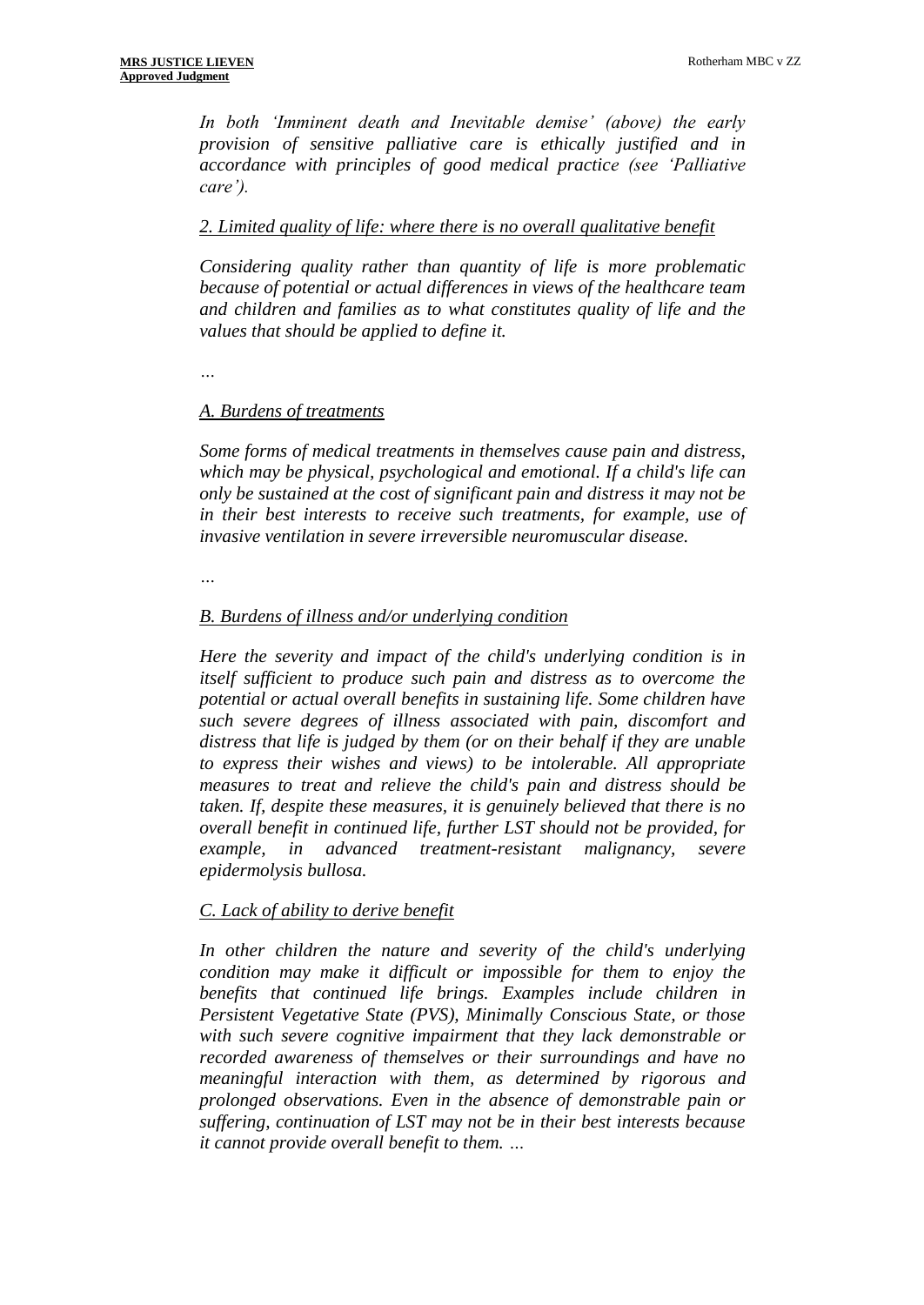*In both 'Imminent death and Inevitable demise' (above) the early provision of sensitive palliative care is ethically justified and in accordance with principles of good medical practice (see 'Palliative care').* 

## *2. Limited quality of life: where there is no overall qualitative benefit*

*Considering quality rather than quantity of life is more problematic because of potential or actual differences in views of the healthcare team and children and families as to what constitutes quality of life and the values that should be applied to define it.* 

*…*

## *A. Burdens of treatments*

*Some forms of medical treatments in themselves cause pain and distress, which may be physical, psychological and emotional. If a child's life can only be sustained at the cost of significant pain and distress it may not be in their best interests to receive such treatments, for example, use of invasive ventilation in severe irreversible neuromuscular disease.* 

*…*

## *B. Burdens of illness and/or underlying condition*

*Here the severity and impact of the child's underlying condition is in itself sufficient to produce such pain and distress as to overcome the potential or actual overall benefits in sustaining life. Some children have such severe degrees of illness associated with pain, discomfort and distress that life is judged by them (or on their behalf if they are unable to express their wishes and views) to be intolerable. All appropriate measures to treat and relieve the child's pain and distress should be taken. If, despite these measures, it is genuinely believed that there is no overall benefit in continued life, further LST should not be provided, for example, in advanced treatment-resistant malignancy, severe epidermolysis bullosa.* 

#### *C. Lack of ability to derive benefit*

*In other children the nature and severity of the child's underlying condition may make it difficult or impossible for them to enjoy the benefits that continued life brings. Examples include children in Persistent Vegetative State (PVS), Minimally Conscious State, or those with such severe cognitive impairment that they lack demonstrable or recorded awareness of themselves or their surroundings and have no meaningful interaction with them, as determined by rigorous and prolonged observations. Even in the absence of demonstrable pain or suffering, continuation of LST may not be in their best interests because it cannot provide overall benefit to them. …*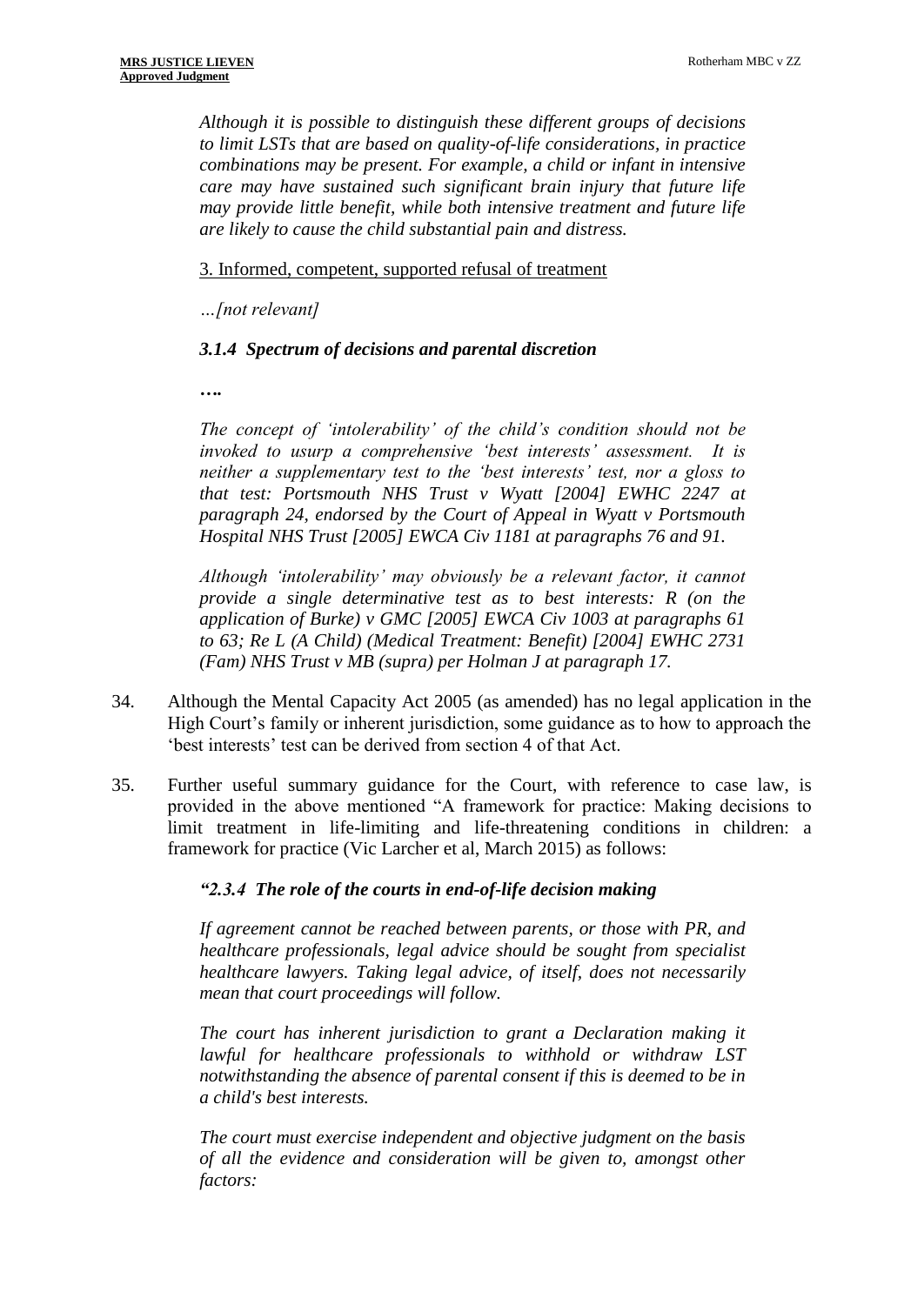*Although it is possible to distinguish these different groups of decisions to limit LSTs that are based on quality-of-life considerations, in practice combinations may be present. For example, a child or infant in intensive care may have sustained such significant brain injury that future life may provide little benefit, while both intensive treatment and future life are likely to cause the child substantial pain and distress.* 

3. Informed, competent, supported refusal of treatment

*…[not relevant]*

## *3.1.4 Spectrum of decisions and parental discretion*

*….*

*The concept of 'intolerability' of the child's condition should not be invoked to usurp a comprehensive 'best interests' assessment. It is neither a supplementary test to the 'best interests' test, nor a gloss to that test: Portsmouth NHS Trust v Wyatt [2004] EWHC 2247 at paragraph 24, endorsed by the Court of Appeal in Wyatt v Portsmouth Hospital NHS Trust [2005] EWCA Civ 1181 at paragraphs 76 and 91.* 

*Although 'intolerability' may obviously be a relevant factor, it cannot provide a single determinative test as to best interests: R (on the application of Burke) v GMC [2005] EWCA Civ 1003 at paragraphs 61 to 63; Re L (A Child) (Medical Treatment: Benefit) [2004] EWHC 2731 (Fam) NHS Trust v MB (supra) per Holman J at paragraph 17.* 

- 34. Although the Mental Capacity Act 2005 (as amended) has no legal application in the High Court's family or inherent jurisdiction, some guidance as to how to approach the 'best interests' test can be derived from section 4 of that Act.
- 35. Further useful summary guidance for the Court, with reference to case law, is provided in the above mentioned "A framework for practice: Making decisions to limit treatment in life-limiting and life-threatening conditions in children: a framework for practice (Vic Larcher et al, March 2015) as follows:

## *"2.3.4 The role of the courts in end-of-life decision making*

*If agreement cannot be reached between parents, or those with PR, and healthcare professionals, legal advice should be sought from specialist healthcare lawyers. Taking legal advice, of itself, does not necessarily mean that court proceedings will follow.* 

*The court has inherent jurisdiction to grant a Declaration making it lawful for healthcare professionals to withhold or withdraw LST notwithstanding the absence of parental consent if this is deemed to be in a child's best interests.*

*The court must exercise independent and objective judgment on the basis of all the evidence and consideration will be given to, amongst other factors:*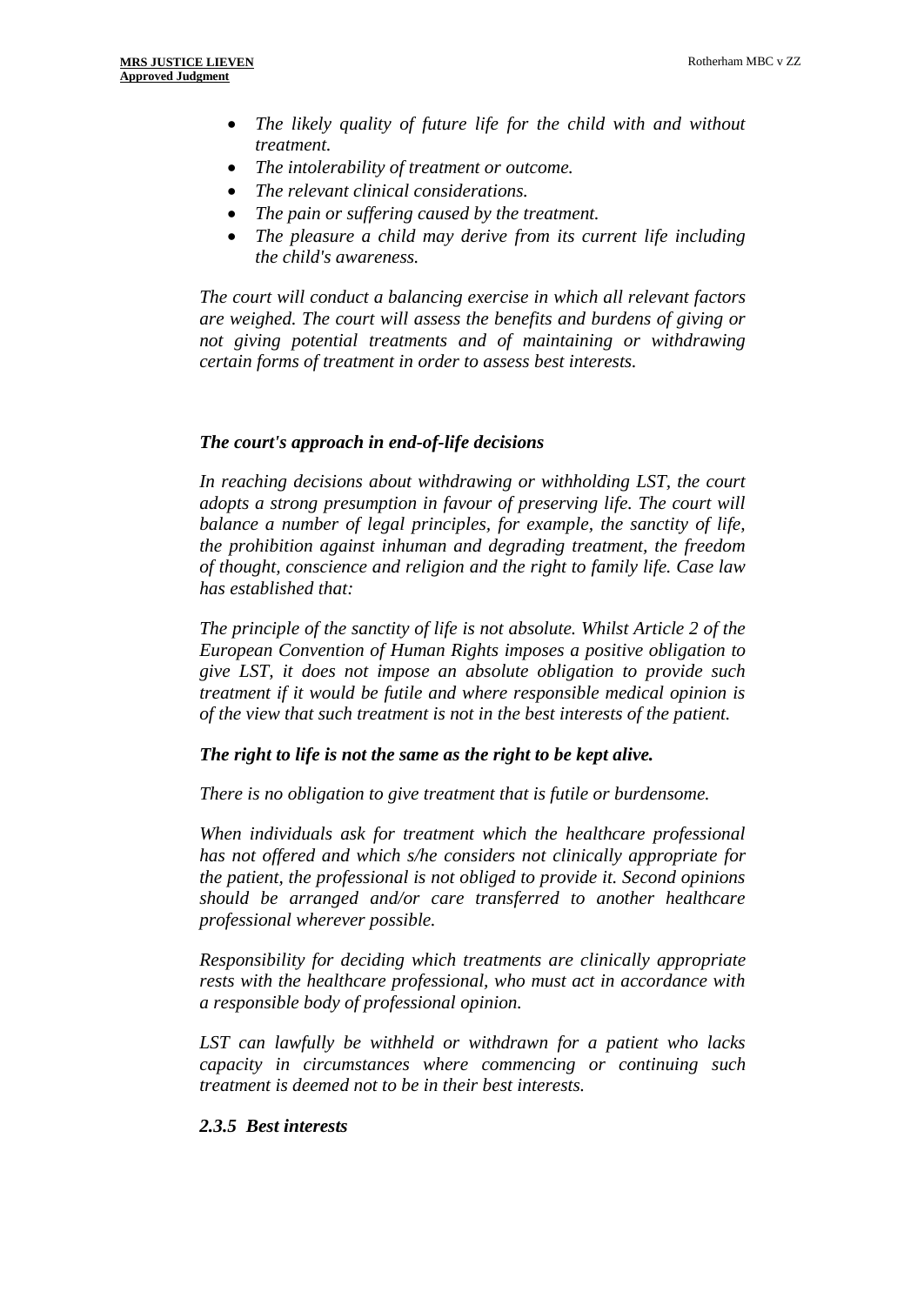- *The likely quality of future life for the child with and without treatment.*
- *The intolerability of treatment or outcome.*
- *The relevant clinical considerations.*
- *The pain or suffering caused by the treatment.*
- *The pleasure a child may derive from its current life including the child's awareness.*

*The court will conduct a balancing exercise in which all relevant factors are weighed. The court will assess the benefits and burdens of giving or not giving potential treatments and of maintaining or withdrawing certain forms of treatment in order to assess best interests.*

#### *The court's approach in end-of-life decisions*

*In reaching decisions about withdrawing or withholding LST, the court adopts a strong presumption in favour of preserving life. The court will balance a number of legal principles, for example, the sanctity of life, the prohibition against inhuman and degrading treatment, the freedom of thought, conscience and religion and the right to family life. Case law has established that:* 

*The principle of the sanctity of life is not absolute. Whilst Article 2 of the European Convention of Human Rights imposes a positive obligation to give LST, it does not impose an absolute obligation to provide such treatment if it would be futile and where responsible medical opinion is of the view that such treatment is not in the best interests of the patient.*

#### *The right to life is not the same as the right to be kept alive.*

*There is no obligation to give treatment that is futile or burdensome.*

*When individuals ask for treatment which the healthcare professional has not offered and which s/he considers not clinically appropriate for the patient, the professional is not obliged to provide it. Second opinions should be arranged and/or care transferred to another healthcare professional wherever possible.*

*Responsibility for deciding which treatments are clinically appropriate rests with the healthcare professional, who must act in accordance with a responsible body of professional opinion.*

*LST can lawfully be withheld or withdrawn for a patient who lacks capacity in circumstances where commencing or continuing such treatment is deemed not to be in their best interests.*

#### *2.3.5 Best interests*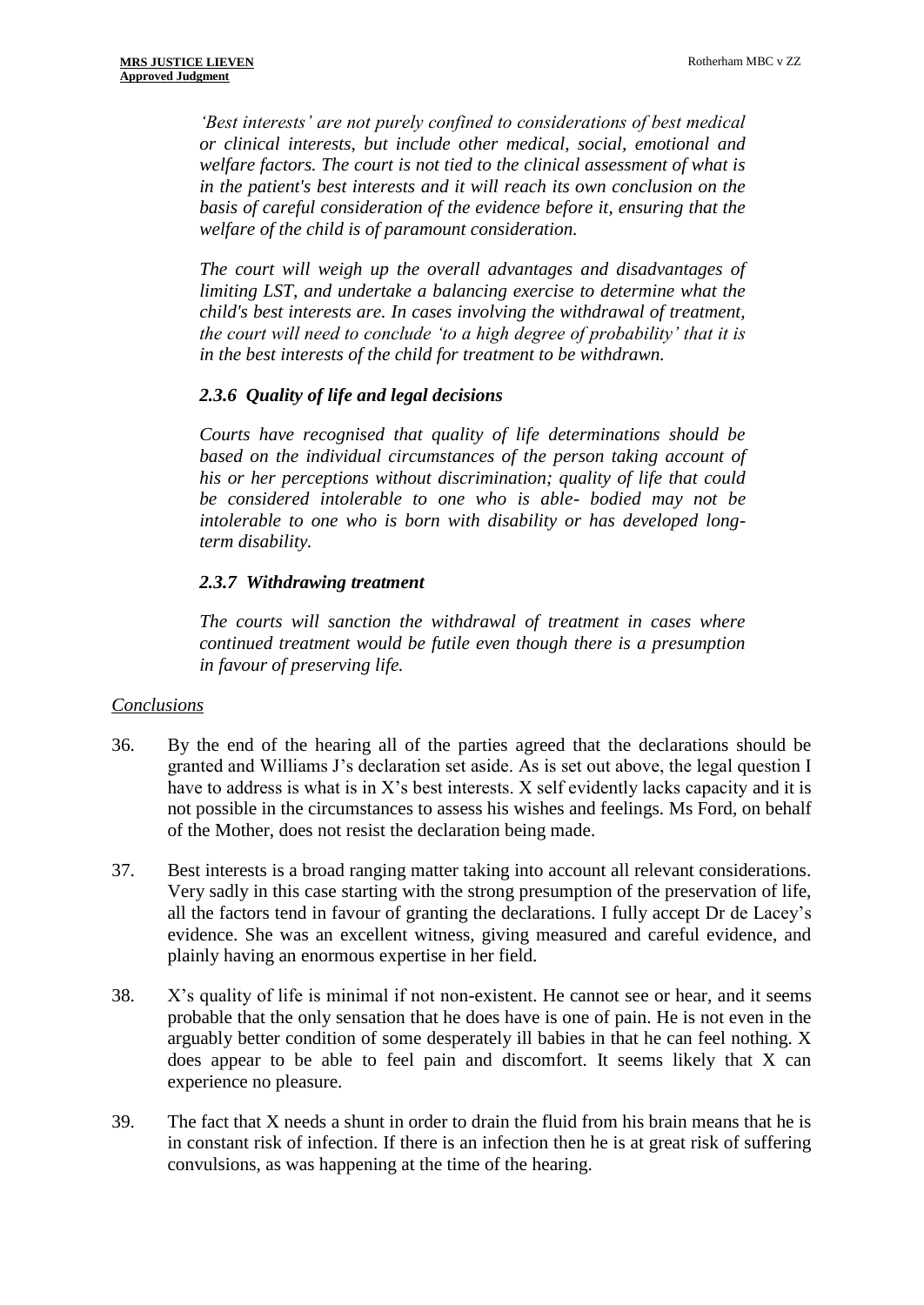*'Best interests' are not purely confined to considerations of best medical or clinical interests, but include other medical, social, emotional and welfare factors. The court is not tied to the clinical assessment of what is in the patient's best interests and it will reach its own conclusion on the basis of careful consideration of the evidence before it, ensuring that the welfare of the child is of paramount consideration.* 

*The court will weigh up the overall advantages and disadvantages of limiting LST, and undertake a balancing exercise to determine what the child's best interests are. In cases involving the withdrawal of treatment, the court will need to conclude 'to a high degree of probability' that it is in the best interests of the child for treatment to be withdrawn.* 

## *2.3.6 Quality of life and legal decisions*

*Courts have recognised that quality of life determinations should be based on the individual circumstances of the person taking account of his or her perceptions without discrimination; quality of life that could be considered intolerable to one who is able- bodied may not be intolerable to one who is born with disability or has developed longterm disability.* 

## *2.3.7 Withdrawing treatment*

*The courts will sanction the withdrawal of treatment in cases where continued treatment would be futile even though there is a presumption in favour of preserving life.*

#### *Conclusions*

- 36. By the end of the hearing all of the parties agreed that the declarations should be granted and Williams J's declaration set aside. As is set out above, the legal question I have to address is what is in X's best interests. X self evidently lacks capacity and it is not possible in the circumstances to assess his wishes and feelings. Ms Ford, on behalf of the Mother, does not resist the declaration being made.
- 37. Best interests is a broad ranging matter taking into account all relevant considerations. Very sadly in this case starting with the strong presumption of the preservation of life, all the factors tend in favour of granting the declarations. I fully accept Dr de Lacey's evidence. She was an excellent witness, giving measured and careful evidence, and plainly having an enormous expertise in her field.
- 38. X's quality of life is minimal if not non-existent. He cannot see or hear, and it seems probable that the only sensation that he does have is one of pain. He is not even in the arguably better condition of some desperately ill babies in that he can feel nothing. X does appear to be able to feel pain and discomfort. It seems likely that X can experience no pleasure.
- 39. The fact that X needs a shunt in order to drain the fluid from his brain means that he is in constant risk of infection. If there is an infection then he is at great risk of suffering convulsions, as was happening at the time of the hearing.